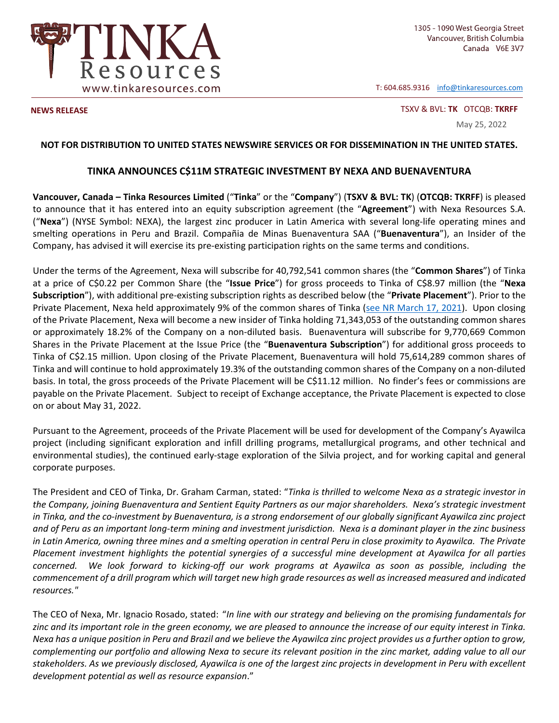

T: 604.685.9316 info@tinkaresources.com

**NEWS RELEASE**  TSXV & BVL: **TK** OTCQB: **TKRFF**

May 25, 2022

## **NOT FOR DISTRIBUTION TO UNITED STATES NEWSWIRE SERVICES OR FOR DISSEMINATION IN THE UNITED STATES.**

## **TINKA ANNOUNCES C\$11M STRATEGIC INVESTMENT BY NEXA AND BUENAVENTURA**

**Vancouver, Canada – Tinka Resources Limited** ("**Tinka**" or the "**Company**") (**TSXV & BVL: TK**) (**OTCQB: TKRFF**) is pleased to announce that it has entered into an equity subscription agreement (the "Agreement") with Nexa Resources S.A. ("Nexa") (NYSE Symbol: NEXA), the largest zinc producer in Latin America with several long-life operating mines and smelting operations in Peru and Brazil. Compañia de Minas Buenaventura SAA ("**Buenaventura**"), an Insider of the Company, has advised it will exercise its pre‐existing participation rights on the same terms and conditions.

Under the terms of the Agreement, Nexa will subscribe for 40,792,541 common shares (the "**Common Shares**") of Tinka at a price of C\$0.22 per Common Share (the "**Issue Price**") for gross proceeds to Tinka of C\$8.97 million (the "**Nexa Subscription**"), with additional pre‐existing subscription rights as described below (the "**Private Placement**"). Prior to the Private Placement, Nexa held approximately 9% of the common shares of Tinka (see NR March 17, 2021). Upon closing of the Private Placement, Nexa will become a new insider of Tinka holding 71,343,053 of the outstanding common shares or approximately 18.2% of the Company on a non‐diluted basis. Buenaventura will subscribe for 9,770,669 Common Shares in the Private Placement at the Issue Price (the "**Buenaventura Subscription**") for additional gross proceeds to Tinka of C\$2.15 million. Upon closing of the Private Placement, Buenaventura will hold 75,614,289 common shares of Tinka and will continue to hold approximately 19.3% of the outstanding common shares of the Company on a non‐diluted basis. In total, the gross proceeds of the Private Placement will be C\$11.12 million. No finder's fees or commissions are payable on the Private Placement. Subject to receipt of Exchange acceptance, the Private Placement is expected to close on or about May 31, 2022.

Pursuant to the Agreement, proceeds of the Private Placement will be used for development of the Company's Ayawilca project (including significant exploration and infill drilling programs, metallurgical programs, and other technical and environmental studies), the continued early‐stage exploration of the Silvia project, and for working capital and general corporate purposes.

The President and CEO of Tinka, Dr. Graham Carman, stated: "*Tinka is thrilled to welcome Nexa as a strategic investor in the Company, joining Buenaventura and Sentient Equity Partners as our major shareholders. Nexa's strategic investment in Tinka, and the co‐investment by Buenaventura, is a strong endorsement of our globally significant Ayawilca zinc project and of Peru as an important long‐term mining and investment jurisdiction. Nexa is a dominant player in the zinc business in Latin America, owning three mines and a smelting operation in central Peru in close proximity to Ayawilca. The Private Placement investment highlights the potential synergies of a successful mine development at Ayawilca for all parties concerned. We look forward to kicking‐off our work programs at Ayawilca as soon as possible, including the commencement of a drill program which will target new high grade resources as well as increased measured and indicated resources."* 

The CEO of Nexa, Mr. Ignacio Rosado, stated: "*In line with our strategy and believing on the promising fundamentals for zinc and its important role in the green economy, we are pleased to announce the increase of our equity interest in Tinka. Nexa has a unique position in Peru and Brazil and we believe the Ayawilca zinc project provides us a further option to grow, complementing our portfolio and allowing Nexa to secure its relevant position in the zinc market, adding value to all our stakeholders. As we previously disclosed, Ayawilca is one of the largest zinc projects in development in Peru with excellent development potential as well as resource expansion*."